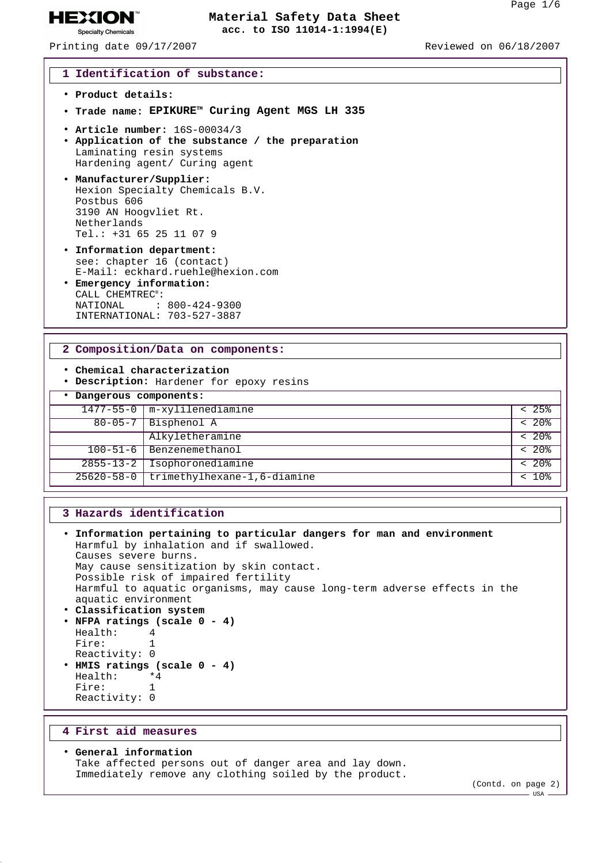Printing date 09/17/2007 Reviewed on 06/18/2007

**HEXION® Specialty Chemicals** 

#### **1 Identification of substance:**

- **Product details:**
- **Trade name: EPIKURETM Curing Agent MGS LH 335**
- **Article number:** 16S-00034/3
- **Application of the substance / the preparation** Laminating resin systems Hardening agent/ Curing agent
- **Manufacturer/Supplier:** Hexion Specialty Chemicals B.V. Postbus 606 3190 AN Hoogvliet Rt. Netherlands Tel.: +31 65 25 11 07 9
- **Information department:** see: chapter 16 (contact) E-Mail: eckhard.ruehle@hexion.com
- **Emergency information:** CALL CHEMTREC®: NATIONAL : 800-424-9300 INTERNATIONAL: 703-527-3887

### **2 Composition/Data on components:**

- **Chemical characterization**
- **Description:** Hardener for epoxy resins

## • **Dangerous components:**

| bangeroup componence: |                                          |                               |
|-----------------------|------------------------------------------|-------------------------------|
|                       | $1477 - 55 - 0$ $m$ -xylilenediamine     | 25%                           |
|                       | $80-05-7$ Bisphenol A                    | 20 <sup>2</sup>               |
|                       | Alkyletheramine                          | 20 <sub>8</sub>               |
|                       | $100 - 51 - 6$ Benzenemethanol           | 20 <sup>8</sup><br>$\epsilon$ |
| $2855 - 13 - 2$       | Isophoronediamine                        | $20$ %                        |
|                       | 25620-58-0   trimethylhexane-1,6-diamine | 10 <sub>8</sub>               |

## **3 Hazards identification**

```
• Information pertaining to particular dangers for man and environment
 Harmful by inhalation and if swallowed.
 Causes severe burns.
 May cause sensitization by skin contact.
 Possible risk of impaired fertility
 Harmful to aquatic organisms, may cause long-term adverse effects in the
 aquatic environment
• Classification system
• NFPA ratings (scale 0 - 4)
 Health: 4
 Fire: 1
 Reactivity: 0
• HMIS ratings (scale 0 - 4)
 Health:
 Fire: 1
 Reactivity: 0
```
#### **4 First aid measures**

• **General information** Take affected persons out of danger area and lay down. Immediately remove any clothing soiled by the product.

(Contd. on page 2)

USA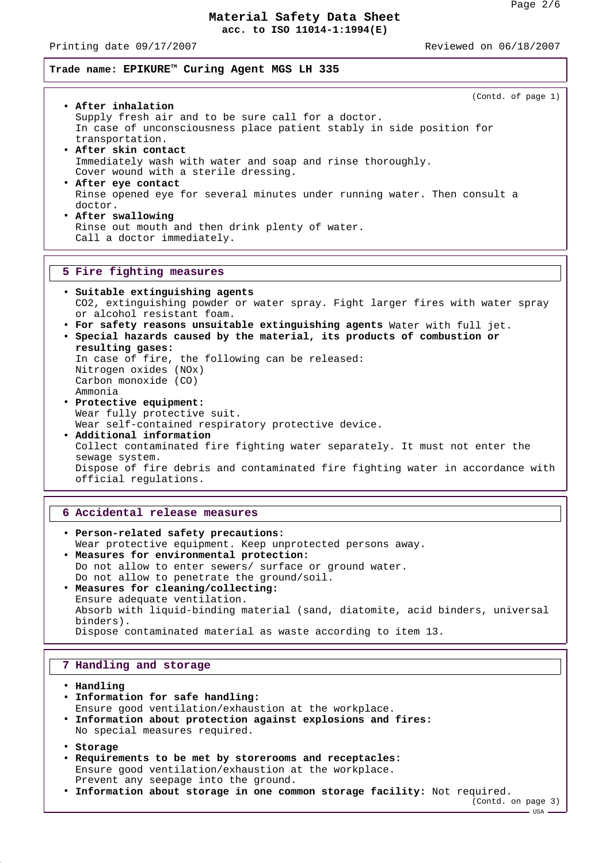Printing date 09/17/2007 Reviewed on 06/18/2007

**Trade name: EPIKURETM Curing Agent MGS LH 335**

| (Contd. of page 1)                                                            |  |  |  |  |
|-------------------------------------------------------------------------------|--|--|--|--|
| • After inhalation                                                            |  |  |  |  |
| Supply fresh air and to be sure call for a doctor.                            |  |  |  |  |
| In case of unconsciousness place patient stably in side position for          |  |  |  |  |
| transportation.                                                               |  |  |  |  |
| • After skin contact                                                          |  |  |  |  |
| Immediately wash with water and soap and rinse thoroughly.                    |  |  |  |  |
| Cover wound with a sterile dressing.                                          |  |  |  |  |
| • After eye contact                                                           |  |  |  |  |
| Rinse opened eye for several minutes under running water. Then consult a      |  |  |  |  |
| doctor.<br>• After swallowing                                                 |  |  |  |  |
|                                                                               |  |  |  |  |
| Rinse out mouth and then drink plenty of water.<br>Call a doctor immediately. |  |  |  |  |
|                                                                               |  |  |  |  |
|                                                                               |  |  |  |  |
|                                                                               |  |  |  |  |
| 5 Fire fighting measures                                                      |  |  |  |  |
|                                                                               |  |  |  |  |
| · Suitable extinguishing agents                                               |  |  |  |  |
| CO2, extinguishing powder or water spray. Fight larger fires with water spray |  |  |  |  |
| or alcohol resistant foam.                                                    |  |  |  |  |
| . For safety reasons unsuitable extinguishing agents Water with full jet.     |  |  |  |  |
| • Special hazards caused by the material, its products of combustion or       |  |  |  |  |
| resulting gases:                                                              |  |  |  |  |
| In case of fire, the following can be released:                               |  |  |  |  |
| Nitrogen oxides (NOx)                                                         |  |  |  |  |
| Carbon monoxide (CO)<br>Ammonia                                               |  |  |  |  |
| · Protective equipment:                                                       |  |  |  |  |

Wear self-contained respiratory protective device. • **Additional information** Collect contaminated fire fighting water separately. It must not enter the sewage system. Dispose of fire debris and contaminated fire fighting water in accordance with official regulations.

### **6 Accidental release measures**

• **Person-related safety precautions:** Wear protective equipment. Keep unprotected persons away. • **Measures for environmental protection:** Do not allow to enter sewers/ surface or ground water. Do not allow to penetrate the ground/soil. • **Measures for cleaning/collecting:** Ensure adequate ventilation. Absorb with liquid-binding material (sand, diatomite, acid binders, universal binders). Dispose contaminated material as waste according to item 13.

### **7 Handling and storage**

• **Handling**

- **Information for safe handling:** Ensure good ventilation/exhaustion at the workplace. • **Information about protection against explosions and fires:** No special measures required.
- **Storage**
- **Requirements to be met by storerooms and receptacles:** Ensure good ventilation/exhaustion at the workplace. Prevent any seepage into the ground.
- **Information about storage in one common storage facility:** Not required.

(Contd. on page 3)  $-$  USA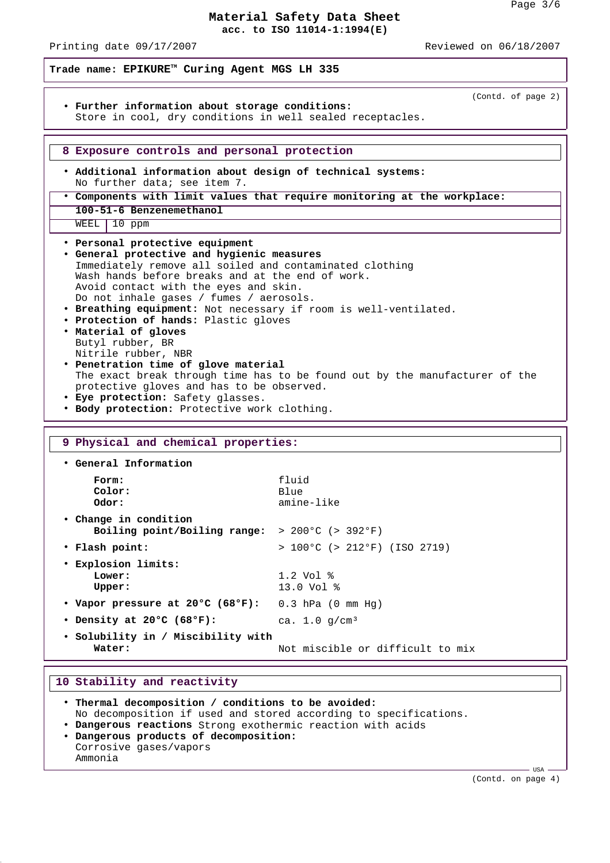Printing date 09/17/2007 Reviewed on 06/18/2007

**Trade name: EPIKURETM Curing Agent MGS LH 335** (Contd. of page 2) • **Further information about storage conditions:** Store in cool, dry conditions in well sealed receptacles. **8 Exposure controls and personal protection** • **Additional information about design of technical systems:** No further data; see item 7. • **Components with limit values that require monitoring at the workplace: 100-51-6 Benzenemethanol** WEEL 10 ppm • **Personal protective equipment** • **General protective and hygienic measures** Immediately remove all soiled and contaminated clothing Wash hands before breaks and at the end of work. Avoid contact with the eyes and skin. Do not inhale gases / fumes / aerosols. • **Breathing equipment:** Not necessary if room is well-ventilated. • **Protection of hands:** Plastic gloves • **Material of gloves** Butyl rubber, BR Nitrile rubber, NBR • **Penetration time of glove material** The exact break through time has to be found out by the manufacturer of the protective gloves and has to be observed. • **Eye protection:** Safety glasses. • **Body protection:** Protective work clothing. **9 Physical and chemical properties:** • **General Information Form:** fluid **Color:** Blue **Odor:** amine-like • **Change in condition Boiling point/Boiling range:** > 200°C (> 392°F) • **Flash point:** > 100°C (> 212°F) (ISO 2719) • **Explosion limits: Lower:** 1.2 Vol % **Upper:** 13.0 Vol % • **Vapor pressure at 20°C (68°F):** 0.3 hPa (0 mm Hg) • **Density at 20°C (68°F):** ca. 1.0 g/cm³ • **Solubility in / Miscibility with** Water:  $\blacksquare$  Not miscible or difficult to mix

### **10 Stability and reactivity**

• **Thermal decomposition / conditions to be avoided:** No decomposition if used and stored according to specifications. • **Dangerous reactions** Strong exothermic reaction with acids • **Dangerous products of decomposition:** Corrosive gases/vapors Ammonia

(Contd. on page 4)

 $-$  USA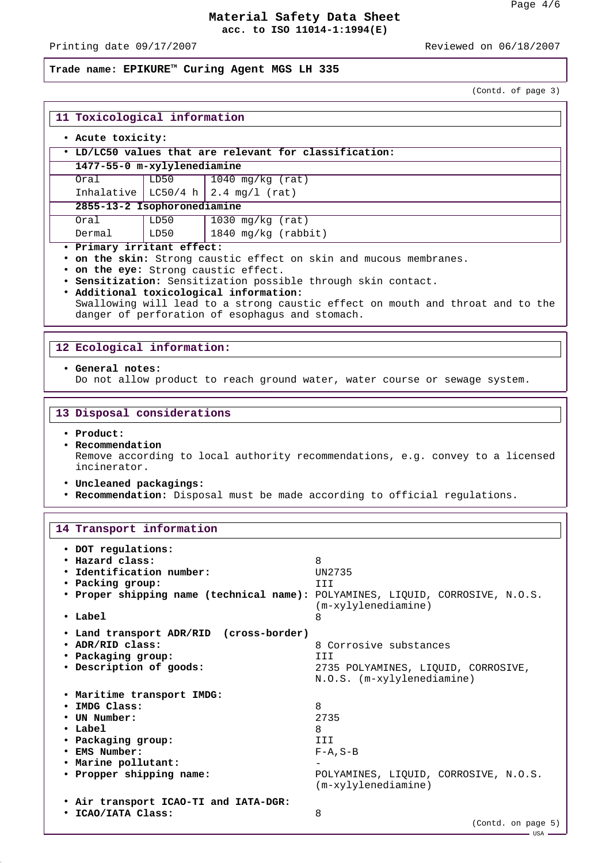Printing date 09/17/2007 Reviewed on 06/18/2007

## **Trade name: EPIKURETM Curing Agent MGS LH 335**

(Contd. of page 3)

| 11 Toxicological information                                       |      |                                        |  |  |  |  |
|--------------------------------------------------------------------|------|----------------------------------------|--|--|--|--|
| . Acute toxicity:                                                  |      |                                        |  |  |  |  |
| • LD/LC50 values that are relevant for classification:             |      |                                        |  |  |  |  |
| 1477-55-0 m-xylylenediamine                                        |      |                                        |  |  |  |  |
| Oral                                                               | LD50 | 1040 mg/kg (rat)                       |  |  |  |  |
|                                                                    |      | Inhalative   LC50/4 h   2.4 mg/l (rat) |  |  |  |  |
| 2855-13-2 Isophoronediamine                                        |      |                                        |  |  |  |  |
| Oral                                                               | LD50 | 1030 mg/kg $(rat)$                     |  |  |  |  |
| Dermal                                                             | LD50 | $1840$ mg/kg (rabbit)                  |  |  |  |  |
| · Primary irritant effect:                                         |      |                                        |  |  |  |  |
| . on the skin: Strong caustic effect on skin and mucous membranes. |      |                                        |  |  |  |  |

• **on the eye:** Strong caustic effect.

• **Sensitization:** Sensitization possible through skin contact.

• **Additional toxicological information:** Swallowing will lead to a strong caustic effect on mouth and throat and to the danger of perforation of esophagus and stomach.

### **12 Ecological information:**

#### • **General notes:**

Do not allow product to reach ground water, water course or sewage system.

#### **13 Disposal considerations**

- **Product:**
- **Recommendation** Remove according to local authority recommendations, e.g. convey to a licensed incinerator.
- **Uncleaned packagings:**
- **Recommendation:** Disposal must be made according to official regulations.

### **14 Transport information**

| • DOT regulations:<br>• Hazard class:<br>• Identification number:<br>• Packing group:<br>. Proper shipping name (technical name): POLYAMINES, LIQUID, CORROSIVE, N.O.S.<br>$\cdot$ Label | 8<br>UN2735<br>TTT<br>(m-xylylenediamine)<br>8                                                               |
|------------------------------------------------------------------------------------------------------------------------------------------------------------------------------------------|--------------------------------------------------------------------------------------------------------------|
| • Land transport ADR/RID (cross-border)<br>• ADR/RID class:<br>• Packaging group:<br>• Description of goods:                                                                             | 8 Corrosive substances<br>III<br>2735 POLYAMINES, LIQUID, CORROSIVE,<br>N.O.S. (m-xylylenediamine)           |
| . Maritime transport IMDG:<br>• IMDG Class:<br>• UN Number:<br>$\cdot$ Label<br>• Packaging group:<br>• EMS Number:<br>. Marine pollutant:<br>• Propper shipping name:                   | 8<br>2735<br>8<br>III<br>$F - A$ , $S - B$<br>POLYAMINES, LIQUID, CORROSIVE, N.O.S.<br>$(m-xylylenediamine)$ |
| . Air transport ICAO-TI and IATA-DGR:<br>• ICAO/IATA Class:                                                                                                                              | 8<br>(Contd. on page 5)<br>—— USA —                                                                          |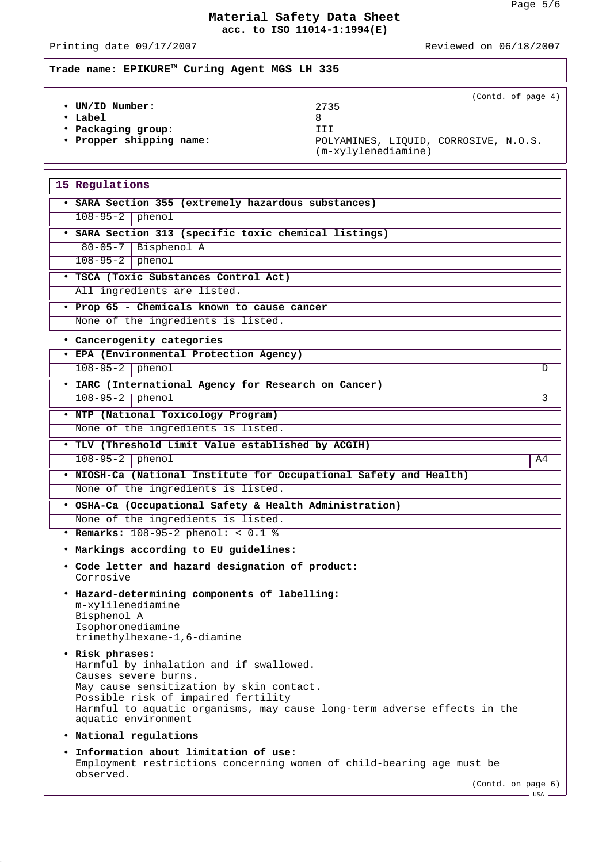# Printing date 09/17/2007 **Reviewed** on 06/18/2007

# **Trade name: EPIKURETM Curing Agent MGS LH 335**

|                          | (Contd. of page 4)                                             |
|--------------------------|----------------------------------------------------------------|
| • UN/ID Number:          | 2735                                                           |
| $\cdot$ Label            |                                                                |
| • Packaging group:       | III                                                            |
| • Propper shipping name: | POLYAMINES, LIOUID, CORROSIVE, N.O.S.<br>$(m-xylylenediamine)$ |

| 15 Regulations                                                                     |    |
|------------------------------------------------------------------------------------|----|
| · SARA Section 355 (extremely hazardous substances)                                |    |
| $108-95-2$ phenol                                                                  |    |
|                                                                                    |    |
| · SARA Section 313 (specific toxic chemical listings)<br>80-05-7   Bisphenol A     |    |
| $108-95-2$ phenol                                                                  |    |
| · TSCA (Toxic Substances Control Act)                                              |    |
| All ingredients are listed.                                                        |    |
|                                                                                    |    |
| · Prop 65 - Chemicals known to cause cancer<br>None of the ingredients is listed.  |    |
|                                                                                    |    |
| • Cancerogenity categories                                                         |    |
| · EPA (Environmental Protection Agency)                                            |    |
| $108 - 95 - 2$ phenol                                                              | D  |
| · IARC (International Agency for Research on Cancer)                               |    |
| $108 - 95 - 2$ phenol                                                              | 3  |
| . NTP (National Toxicology Program)                                                |    |
| None of the ingredients is listed.                                                 |    |
| . TLV (Threshold Limit Value established by ACGIH)                                 |    |
| $108-95-2$ phenol                                                                  | A4 |
| . NIOSH-Ca (National Institute for Occupational Safety and Health)                 |    |
| None of the ingredients is listed.                                                 |    |
| . OSHA-Ca (Occupational Safety & Health Administration)                            |    |
| None of the ingredients is listed.                                                 |    |
| • Remarks: 108-95-2 phenol: < 0.1 %                                                |    |
| . Markings according to EU guidelines:                                             |    |
| . Code letter and hazard designation of product:<br>Corrosive                      |    |
| . Hazard-determining components of labelling:                                      |    |
| m-xylilenediamine                                                                  |    |
| Bisphenol A<br>Isophoronediamine                                                   |    |
| trimethylhexane-1,6-diamine                                                        |    |
| • Risk phrases:                                                                    |    |
| Harmful by inhalation and if swallowed.                                            |    |
| Causes severe burns.<br>May cause sensitization by skin contact.                   |    |
| Possible risk of impaired fertility                                                |    |
| Harmful to aquatic organisms, may cause long-term adverse effects in the           |    |
| aquatic environment                                                                |    |
| • National regulations                                                             |    |
| . Information about limitation of use:                                             |    |
| Employment restrictions concerning women of child-bearing age must be<br>observed. |    |
| (Contd. on page 6)                                                                 |    |